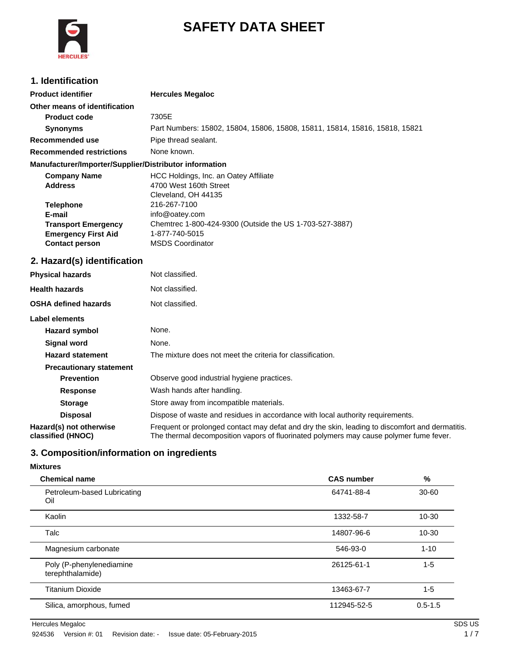

# **SAFETY DATA SHEET**

## **1. Identification**

| <b>Product identifier</b>                              | <b>Hercules Megaloc</b>                                                     |
|--------------------------------------------------------|-----------------------------------------------------------------------------|
| Other means of identification                          |                                                                             |
| <b>Product code</b>                                    | 7305E                                                                       |
| <b>Synonyms</b>                                        | Part Numbers: 15802, 15804, 15806, 15808, 15811, 15814, 15816, 15818, 15821 |
| Recommended use                                        | Pipe thread sealant.                                                        |
| <b>Recommended restrictions</b>                        | None known.                                                                 |
| Manufacturer/Importer/Supplier/Distributor information |                                                                             |
| <b>Company Name</b>                                    | HCC Holdings, Inc. an Oatey Affiliate                                       |
| <b>Address</b>                                         | 4700 West 160th Street                                                      |
|                                                        | Cleveland, OH 44135                                                         |

| 4700 West 160th Street                                  |
|---------------------------------------------------------|
| Cleveland, OH 44135                                     |
| 216-267-7100                                            |
| info@oatey.com                                          |
| Chemtrec 1-800-424-9300 (Outside the US 1-703-527-3887) |
| 1-877-740-5015                                          |
| <b>MSDS Coordinator</b>                                 |
|                                                         |

### **2. Hazard(s) identification**

| <b>Physical hazards</b>                      | Not classified.                                                                                                                                                                           |
|----------------------------------------------|-------------------------------------------------------------------------------------------------------------------------------------------------------------------------------------------|
| <b>Health hazards</b>                        | Not classified.                                                                                                                                                                           |
| <b>OSHA defined hazards</b>                  | Not classified.                                                                                                                                                                           |
| Label elements                               |                                                                                                                                                                                           |
| Hazard symbol                                | None.                                                                                                                                                                                     |
| Signal word                                  | None.                                                                                                                                                                                     |
| <b>Hazard statement</b>                      | The mixture does not meet the criteria for classification.                                                                                                                                |
| <b>Precautionary statement</b>               |                                                                                                                                                                                           |
| <b>Prevention</b>                            | Observe good industrial hygiene practices.                                                                                                                                                |
| <b>Response</b>                              | Wash hands after handling.                                                                                                                                                                |
| <b>Storage</b>                               | Store away from incompatible materials.                                                                                                                                                   |
| <b>Disposal</b>                              | Dispose of waste and residues in accordance with local authority requirements.                                                                                                            |
| Hazard(s) not otherwise<br>classified (HNOC) | Frequent or prolonged contact may defat and dry the skin, leading to discomfort and dermatitis.<br>The thermal decomposition vapors of fluorinated polymers may cause polymer fume fever. |

## **3. Composition/information on ingredients**

### **Mixtures**

| <b>Chemical name</b>                         | <b>CAS number</b> | %           |
|----------------------------------------------|-------------------|-------------|
| Petroleum-based Lubricating<br>Oil           | 64741-88-4        | $30 - 60$   |
| Kaolin                                       | 1332-58-7         | $10 - 30$   |
| Talc                                         | 14807-96-6        | $10 - 30$   |
| Magnesium carbonate                          | 546-93-0          | $1 - 10$    |
| Poly (P-phenylenediamine<br>terephthalamide) | 26125-61-1        | $1 - 5$     |
| <b>Titanium Dioxide</b>                      | 13463-67-7        | $1 - 5$     |
| Silica, amorphous, fumed                     | 112945-52-5       | $0.5 - 1.5$ |

Hercules Megaloc SDS US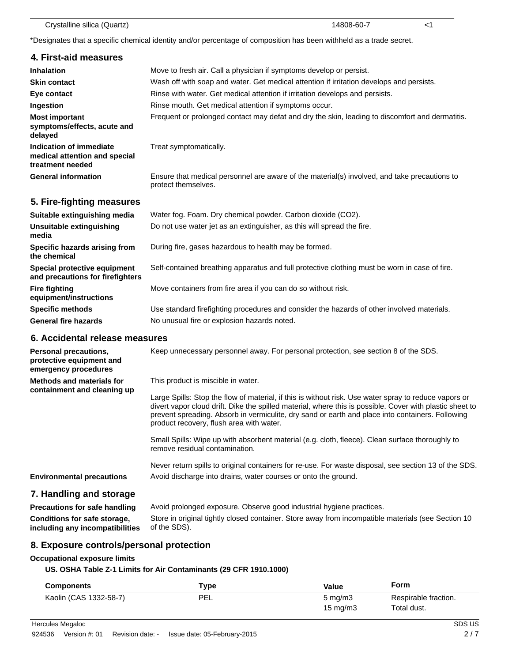| Crystalline silica (Quartz) | 14808-60-7 |  |
|-----------------------------|------------|--|
|-----------------------------|------------|--|

\*Designates that a specific chemical identity and/or percentage of composition has been withheld as a trade secret.

| 4. First-aid measures                                                        |                                                                                                                     |
|------------------------------------------------------------------------------|---------------------------------------------------------------------------------------------------------------------|
| <b>Inhalation</b>                                                            | Move to fresh air. Call a physician if symptoms develop or persist.                                                 |
| <b>Skin contact</b>                                                          | Wash off with soap and water. Get medical attention if irritation develops and persists.                            |
| Eye contact                                                                  | Rinse with water. Get medical attention if irritation develops and persists.                                        |
| Ingestion                                                                    | Rinse mouth. Get medical attention if symptoms occur.                                                               |
| <b>Most important</b><br>symptoms/effects, acute and<br>delayed              | Frequent or prolonged contact may defat and dry the skin, leading to discomfort and dermatitis.                     |
| Indication of immediate<br>medical attention and special<br>treatment needed | Treat symptomatically.                                                                                              |
| <b>General information</b>                                                   | Ensure that medical personnel are aware of the material(s) involved, and take precautions to<br>protect themselves. |
| 5. Fire-fighting measures                                                    |                                                                                                                     |
| Suitable extinguishing media                                                 | Water fog. Foam. Dry chemical powder. Carbon dioxide (CO2).                                                         |
| Unsuitable extinguishing<br>media                                            | Do not use water jet as an extinguisher, as this will spread the fire.                                              |
| Specific hazards arising from<br>the chemical                                | During fire, gases hazardous to health may be formed.                                                               |
| Special protective equipment<br>and precautions for firefighters             | Self-contained breathing apparatus and full protective clothing must be worn in case of fire.                       |

Move containers from fire area if you can do so without risk.

**Specific methods** Use standard firefighting procedures and consider the hazards of other involved materials. General fire hazards **No unusual fire or explosion hazards noted.** 

### **6. Accidental release measures**

**Fire fighting**

**equipment/instructions**

| <b>Personal precautions,</b><br>protective equipment and<br>emergency procedures | Keep unnecessary personnel away. For personal protection, see section 8 of the SDS.                                                                                                                                                                                                                                                                                                                     |
|----------------------------------------------------------------------------------|---------------------------------------------------------------------------------------------------------------------------------------------------------------------------------------------------------------------------------------------------------------------------------------------------------------------------------------------------------------------------------------------------------|
| Methods and materials for<br>containment and cleaning up                         | This product is miscible in water.<br>Large Spills: Stop the flow of material, if this is without risk. Use water spray to reduce vapors or<br>divert vapor cloud drift. Dike the spilled material, where this is possible. Cover with plastic sheet to<br>prevent spreading. Absorb in vermiculite, dry sand or earth and place into containers. Following<br>product recovery, flush area with water. |
|                                                                                  | Small Spills: Wipe up with absorbent material (e.g. cloth, fleece). Clean surface thoroughly to<br>remove residual contamination.                                                                                                                                                                                                                                                                       |
| <b>Environmental precautions</b>                                                 | Never return spills to original containers for re-use. For waste disposal, see section 13 of the SDS.<br>Avoid discharge into drains, water courses or onto the ground.                                                                                                                                                                                                                                 |
| 7. Handling and storage                                                          |                                                                                                                                                                                                                                                                                                                                                                                                         |

#### **Precautions for safe handling** Avoid prolonged exposure. Observe good industrial hygiene practices. **Conditions for safe storage, including any incompatibilities** Store in original tightly closed container. Store away from incompatible materials (see Section 10 of the SDS).

### **8. Exposure controls/personal protection**

### **Occupational exposure limits**

### **US. OSHA Table Z-1 Limits for Air Contaminants (29 CFR 1910.1000)**

| <b>Components</b>      | $r_{\rm VDE}$ | Value            | Form                 |
|------------------------|---------------|------------------|----------------------|
| Kaolin (CAS 1332-58-7) | PEL           | $5 \text{ mg/m}$ | Respirable fraction. |
|                        |               | 15 mg/m $3$      | Total dust.          |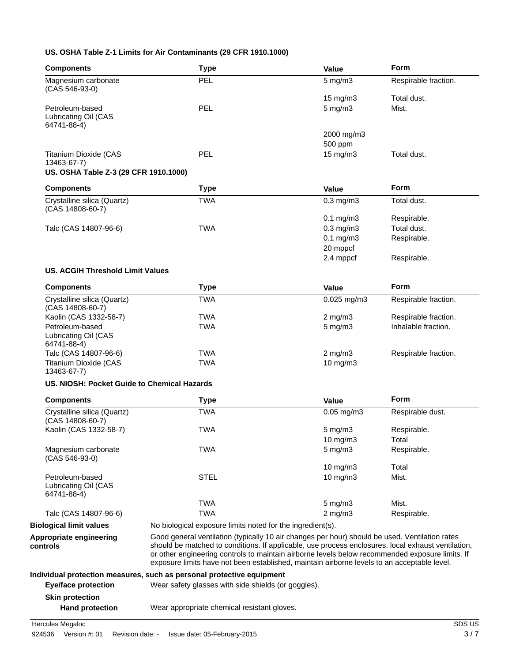### **US. OSHA Table Z-1 Limits for Air Contaminants (29 CFR 1910.1000)**

| <b>Components</b>                                      | <b>Type</b>                                                                                                                                                                                                                                                                                                                                                                                            | Value              | Form                 |
|--------------------------------------------------------|--------------------------------------------------------------------------------------------------------------------------------------------------------------------------------------------------------------------------------------------------------------------------------------------------------------------------------------------------------------------------------------------------------|--------------------|----------------------|
| Magnesium carbonate                                    | <b>PEL</b>                                                                                                                                                                                                                                                                                                                                                                                             | $5$ mg/m $3$       | Respirable fraction. |
| (CAS 546-93-0)                                         |                                                                                                                                                                                                                                                                                                                                                                                                        |                    |                      |
|                                                        |                                                                                                                                                                                                                                                                                                                                                                                                        | 15 mg/m3           | Total dust.          |
| Petroleum-based<br>Lubricating Oil (CAS<br>64741-88-4) | <b>PEL</b>                                                                                                                                                                                                                                                                                                                                                                                             | $5$ mg/m $3$       | Mist.                |
|                                                        |                                                                                                                                                                                                                                                                                                                                                                                                        | 2000 mg/m3         |                      |
|                                                        |                                                                                                                                                                                                                                                                                                                                                                                                        | 500 ppm            |                      |
| <b>Titanium Dioxide (CAS</b><br>13463-67-7)            | <b>PEL</b>                                                                                                                                                                                                                                                                                                                                                                                             | 15 mg/m3           | Total dust.          |
| US. OSHA Table Z-3 (29 CFR 1910.1000)                  |                                                                                                                                                                                                                                                                                                                                                                                                        |                    |                      |
| <b>Components</b>                                      | <b>Type</b>                                                                                                                                                                                                                                                                                                                                                                                            | Value              | Form                 |
| Crystalline silica (Quartz)<br>(CAS 14808-60-7)        | <b>TWA</b>                                                                                                                                                                                                                                                                                                                                                                                             | $0.3$ mg/m $3$     | Total dust.          |
|                                                        |                                                                                                                                                                                                                                                                                                                                                                                                        | $0.1$ mg/m $3$     | Respirable.          |
| Talc (CAS 14807-96-6)                                  | <b>TWA</b>                                                                                                                                                                                                                                                                                                                                                                                             | $0.3$ mg/m $3$     | Total dust.          |
|                                                        |                                                                                                                                                                                                                                                                                                                                                                                                        | $0.1$ mg/m $3$     | Respirable.          |
|                                                        |                                                                                                                                                                                                                                                                                                                                                                                                        | 20 mppcf           |                      |
|                                                        |                                                                                                                                                                                                                                                                                                                                                                                                        | 2.4 mppcf          | Respirable.          |
| US. ACGIH Threshold Limit Values                       |                                                                                                                                                                                                                                                                                                                                                                                                        |                    |                      |
| <b>Components</b>                                      | <b>Type</b>                                                                                                                                                                                                                                                                                                                                                                                            | Value              | <b>Form</b>          |
| Crystalline silica (Quartz)<br>(CAS 14808-60-7)        | <b>TWA</b>                                                                                                                                                                                                                                                                                                                                                                                             | $0.025$ mg/m3      | Respirable fraction. |
| Kaolin (CAS 1332-58-7)                                 | <b>TWA</b>                                                                                                                                                                                                                                                                                                                                                                                             | $2$ mg/m $3$       | Respirable fraction. |
| Petroleum-based<br>Lubricating Oil (CAS<br>64741-88-4) | <b>TWA</b>                                                                                                                                                                                                                                                                                                                                                                                             | $5$ mg/m $3$       | Inhalable fraction.  |
| Talc (CAS 14807-96-6)                                  | <b>TWA</b>                                                                                                                                                                                                                                                                                                                                                                                             | $2$ mg/m $3$       | Respirable fraction. |
| <b>Titanium Dioxide (CAS</b><br>13463-67-7)            | <b>TWA</b>                                                                                                                                                                                                                                                                                                                                                                                             | 10 mg/m3           |                      |
| US. NIOSH: Pocket Guide to Chemical Hazards            |                                                                                                                                                                                                                                                                                                                                                                                                        |                    |                      |
| <b>Components</b>                                      | <b>Type</b>                                                                                                                                                                                                                                                                                                                                                                                            | Value              | <b>Form</b>          |
| Crystalline silica (Quartz)<br>(CAS 14808-60-7)        | <b>TWA</b>                                                                                                                                                                                                                                                                                                                                                                                             | $0.05$ mg/m $3$    | Respirable dust.     |
| Kaolin (CAS 1332-58-7)                                 | <b>TWA</b>                                                                                                                                                                                                                                                                                                                                                                                             | $5 \text{ mg/m}$   | Respirable.          |
|                                                        |                                                                                                                                                                                                                                                                                                                                                                                                        | 10 mg/m3           | Total                |
| Magnesium carbonate<br>$(CAS 546-93-0)$                | <b>TWA</b>                                                                                                                                                                                                                                                                                                                                                                                             | $5 \text{ mg/m}$ 3 | Respirable.          |
|                                                        |                                                                                                                                                                                                                                                                                                                                                                                                        | 10 mg/m3           | Total                |
| Petroleum-based<br>Lubricating Oil (CAS<br>64741-88-4) | <b>STEL</b>                                                                                                                                                                                                                                                                                                                                                                                            | $10$ mg/m $3$      | Mist.                |
|                                                        | <b>TWA</b>                                                                                                                                                                                                                                                                                                                                                                                             | $5$ mg/m $3$       | Mist.                |
| Talc (CAS 14807-96-6)                                  | <b>TWA</b>                                                                                                                                                                                                                                                                                                                                                                                             | $2$ mg/m $3$       | Respirable.          |
| <b>Biological limit values</b>                         | No biological exposure limits noted for the ingredient(s).                                                                                                                                                                                                                                                                                                                                             |                    |                      |
| Appropriate engineering<br>controls                    | Good general ventilation (typically 10 air changes per hour) should be used. Ventilation rates<br>should be matched to conditions. If applicable, use process enclosures, local exhaust ventilation,<br>or other engineering controls to maintain airborne levels below recommended exposure limits. If<br>exposure limits have not been established, maintain airborne levels to an acceptable level. |                    |                      |
|                                                        | Individual protection measures, such as personal protective equipment                                                                                                                                                                                                                                                                                                                                  |                    |                      |
| <b>Eye/face protection</b>                             | Wear safety glasses with side shields (or goggles).                                                                                                                                                                                                                                                                                                                                                    |                    |                      |
| <b>Skin protection</b>                                 |                                                                                                                                                                                                                                                                                                                                                                                                        |                    |                      |
| <b>Hand protection</b>                                 | Wear appropriate chemical resistant gloves.                                                                                                                                                                                                                                                                                                                                                            |                    |                      |

**Hercules Megaloc** SDS US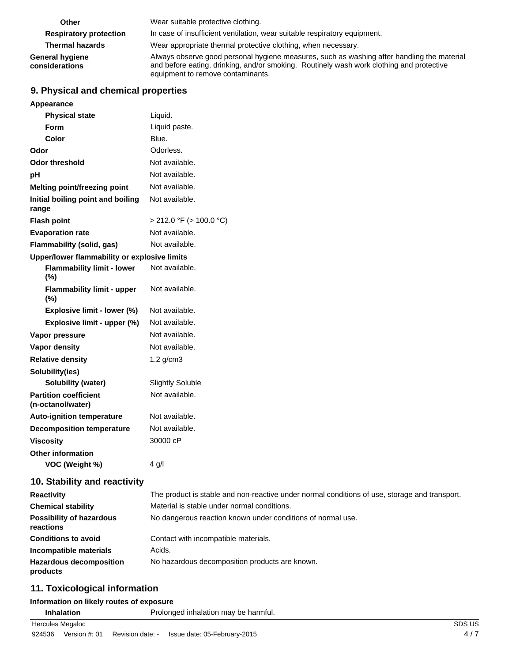| Other                                    | Wear suitable protective clothing.                                                                                                                                                                                          |
|------------------------------------------|-----------------------------------------------------------------------------------------------------------------------------------------------------------------------------------------------------------------------------|
| <b>Respiratory protection</b>            | In case of insufficient ventilation, wear suitable respiratory equipment.                                                                                                                                                   |
| <b>Thermal hazards</b>                   | Wear appropriate thermal protective clothing, when necessary.                                                                                                                                                               |
| <b>General hygiene</b><br>considerations | Always observe good personal hygiene measures, such as washing after handling the material<br>and before eating, drinking, and/or smoking. Routinely wash work clothing and protective<br>equipment to remove contaminants. |

### **9. Physical and chemical properties**

| Appearance                                        |                         |
|---------------------------------------------------|-------------------------|
| <b>Physical state</b>                             | Liquid.                 |
| Form                                              | Liquid paste.           |
| Color                                             | Blue.                   |
| Odor                                              | Odorless.               |
| Odor threshold                                    | Not available.          |
| рH                                                | Not available.          |
| <b>Melting point/freezing point</b>               | Not available.          |
| Initial boiling point and boiling<br>range        | Not available.          |
| <b>Flash point</b>                                | > 212.0 °F (> 100.0 °C) |
| <b>Evaporation rate</b>                           | Not available.          |
| <b>Flammability (solid, gas)</b>                  | Not available.          |
| Upper/lower flammability or explosive limits      |                         |
| <b>Flammability limit - lower</b><br>$(\% )$      | Not available.          |
| <b>Flammability limit - upper</b><br>(%)          | Not available.          |
| Explosive limit - lower (%)                       | Not available.          |
| Explosive limit - upper (%)                       | Not available.          |
| Vapor pressure                                    | Not available.          |
| <b>Vapor density</b>                              | Not available.          |
| <b>Relative density</b>                           | $1.2$ g/cm $3$          |
| Solubility(ies)                                   |                         |
| Solubility (water)                                | Slightly Soluble        |
| <b>Partition coefficient</b><br>(n-octanol/water) | Not available.          |
| <b>Auto-ignition temperature</b>                  | Not available.          |
| <b>Decomposition temperature</b>                  | Not available.          |
| <b>Viscositv</b>                                  | 30000 cP                |
| <b>Other information</b>                          |                         |
| VOC (Weight %)                                    | 4 g/l                   |
|                                                   |                         |

### **10. Stability and reactivity**

| <b>Reactivity</b>                            | The product is stable and non-reactive under normal conditions of use, storage and transport. |
|----------------------------------------------|-----------------------------------------------------------------------------------------------|
| <b>Chemical stability</b>                    | Material is stable under normal conditions.                                                   |
| <b>Possibility of hazardous</b><br>reactions | No dangerous reaction known under conditions of normal use.                                   |
| <b>Conditions to avoid</b>                   | Contact with incompatible materials.                                                          |
| Incompatible materials                       | Acids.                                                                                        |
| <b>Hazardous decomposition</b><br>products   | No hazardous decomposition products are known.                                                |

### **11. Toxicological information**

### **Information on likely routes of exposure**

| Inhalation       | Prolonged inhalation may be harmful. |      |
|------------------|--------------------------------------|------|
| Hercules Megaloc |                                      | SDS. |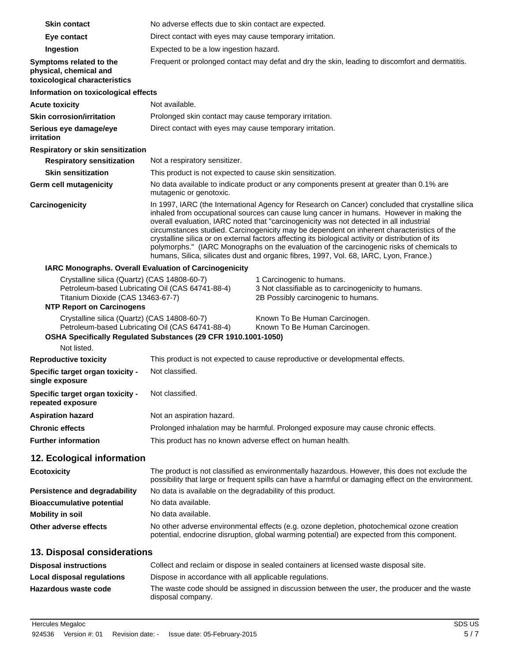| <b>Skin contact</b>                                                                                                                                                       | No adverse effects due to skin contact are expected.                                                                                                                                                                                                                                                                                                                                                                                                                                                                                                                                                                                                                                |  |  |
|---------------------------------------------------------------------------------------------------------------------------------------------------------------------------|-------------------------------------------------------------------------------------------------------------------------------------------------------------------------------------------------------------------------------------------------------------------------------------------------------------------------------------------------------------------------------------------------------------------------------------------------------------------------------------------------------------------------------------------------------------------------------------------------------------------------------------------------------------------------------------|--|--|
| Eye contact                                                                                                                                                               | Direct contact with eyes may cause temporary irritation.                                                                                                                                                                                                                                                                                                                                                                                                                                                                                                                                                                                                                            |  |  |
| Ingestion                                                                                                                                                                 | Expected to be a low ingestion hazard.                                                                                                                                                                                                                                                                                                                                                                                                                                                                                                                                                                                                                                              |  |  |
| Symptoms related to the<br>physical, chemical and<br>toxicological characteristics                                                                                        | Frequent or prolonged contact may defat and dry the skin, leading to discomfort and dermatitis.                                                                                                                                                                                                                                                                                                                                                                                                                                                                                                                                                                                     |  |  |
| Information on toxicological effects                                                                                                                                      |                                                                                                                                                                                                                                                                                                                                                                                                                                                                                                                                                                                                                                                                                     |  |  |
| <b>Acute toxicity</b>                                                                                                                                                     | Not available.                                                                                                                                                                                                                                                                                                                                                                                                                                                                                                                                                                                                                                                                      |  |  |
| <b>Skin corrosion/irritation</b>                                                                                                                                          | Prolonged skin contact may cause temporary irritation.                                                                                                                                                                                                                                                                                                                                                                                                                                                                                                                                                                                                                              |  |  |
| Serious eye damage/eye<br>irritation                                                                                                                                      | Direct contact with eyes may cause temporary irritation.                                                                                                                                                                                                                                                                                                                                                                                                                                                                                                                                                                                                                            |  |  |
| Respiratory or skin sensitization                                                                                                                                         |                                                                                                                                                                                                                                                                                                                                                                                                                                                                                                                                                                                                                                                                                     |  |  |
| <b>Respiratory sensitization</b>                                                                                                                                          | Not a respiratory sensitizer.                                                                                                                                                                                                                                                                                                                                                                                                                                                                                                                                                                                                                                                       |  |  |
| <b>Skin sensitization</b>                                                                                                                                                 | This product is not expected to cause skin sensitization.                                                                                                                                                                                                                                                                                                                                                                                                                                                                                                                                                                                                                           |  |  |
| Germ cell mutagenicity                                                                                                                                                    | No data available to indicate product or any components present at greater than 0.1% are<br>mutagenic or genotoxic.                                                                                                                                                                                                                                                                                                                                                                                                                                                                                                                                                                 |  |  |
| Carcinogenicity                                                                                                                                                           | In 1997, IARC (the International Agency for Research on Cancer) concluded that crystalline silica<br>inhaled from occupational sources can cause lung cancer in humans. However in making the<br>overall evaluation, IARC noted that "carcinogenicity was not detected in all industrial<br>circumstances studied. Carcinogenicity may be dependent on inherent characteristics of the<br>crystalline silica or on external factors affecting its biological activity or distribution of its<br>polymorphs." (IARC Monographs on the evaluation of the carcinogenic risks of chemicals to<br>humans, Silica, silicates dust and organic fibres, 1997, Vol. 68, IARC, Lyon, France.) |  |  |
| IARC Monographs. Overall Evaluation of Carcinogenicity                                                                                                                    |                                                                                                                                                                                                                                                                                                                                                                                                                                                                                                                                                                                                                                                                                     |  |  |
| Crystalline silica (Quartz) (CAS 14808-60-7)<br>Petroleum-based Lubricating Oil (CAS 64741-88-4)<br>Titanium Dioxide (CAS 13463-67-7)<br><b>NTP Report on Carcinogens</b> | 1 Carcinogenic to humans.<br>3 Not classifiable as to carcinogenicity to humans.<br>2B Possibly carcinogenic to humans.                                                                                                                                                                                                                                                                                                                                                                                                                                                                                                                                                             |  |  |
| Crystalline silica (Quartz) (CAS 14808-60-7)<br>Petroleum-based Lubricating Oil (CAS 64741-88-4)<br>Not listed.                                                           | Known To Be Human Carcinogen.<br>Known To Be Human Carcinogen.<br>OSHA Specifically Regulated Substances (29 CFR 1910.1001-1050)                                                                                                                                                                                                                                                                                                                                                                                                                                                                                                                                                    |  |  |
| <b>Reproductive toxicity</b>                                                                                                                                              | This product is not expected to cause reproductive or developmental effects.                                                                                                                                                                                                                                                                                                                                                                                                                                                                                                                                                                                                        |  |  |
| Specific target organ toxicity -<br>single exposure                                                                                                                       | Not classified.                                                                                                                                                                                                                                                                                                                                                                                                                                                                                                                                                                                                                                                                     |  |  |
| Specific target organ toxicity -<br>repeated exposure                                                                                                                     | Not classified.                                                                                                                                                                                                                                                                                                                                                                                                                                                                                                                                                                                                                                                                     |  |  |
| <b>Aspiration hazard</b>                                                                                                                                                  | Not an aspiration hazard.                                                                                                                                                                                                                                                                                                                                                                                                                                                                                                                                                                                                                                                           |  |  |
| <b>Chronic effects</b>                                                                                                                                                    | Prolonged inhalation may be harmful. Prolonged exposure may cause chronic effects.                                                                                                                                                                                                                                                                                                                                                                                                                                                                                                                                                                                                  |  |  |
| <b>Further information</b>                                                                                                                                                | This product has no known adverse effect on human health.                                                                                                                                                                                                                                                                                                                                                                                                                                                                                                                                                                                                                           |  |  |
|                                                                                                                                                                           |                                                                                                                                                                                                                                                                                                                                                                                                                                                                                                                                                                                                                                                                                     |  |  |
| 12. Ecological information                                                                                                                                                |                                                                                                                                                                                                                                                                                                                                                                                                                                                                                                                                                                                                                                                                                     |  |  |
| <b>Ecotoxicity</b>                                                                                                                                                        | The product is not classified as environmentally hazardous. However, this does not exclude the<br>possibility that large or frequent spills can have a harmful or damaging effect on the environment.                                                                                                                                                                                                                                                                                                                                                                                                                                                                               |  |  |
| Persistence and degradability                                                                                                                                             | No data is available on the degradability of this product.                                                                                                                                                                                                                                                                                                                                                                                                                                                                                                                                                                                                                          |  |  |
| <b>Bioaccumulative potential</b>                                                                                                                                          | No data available.                                                                                                                                                                                                                                                                                                                                                                                                                                                                                                                                                                                                                                                                  |  |  |
| <b>Mobility in soil</b>                                                                                                                                                   | No data available.                                                                                                                                                                                                                                                                                                                                                                                                                                                                                                                                                                                                                                                                  |  |  |
| Other adverse effects                                                                                                                                                     | No other adverse environmental effects (e.g. ozone depletion, photochemical ozone creation<br>potential, endocrine disruption, global warming potential) are expected from this component.                                                                                                                                                                                                                                                                                                                                                                                                                                                                                          |  |  |
| 13. Disposal considerations                                                                                                                                               |                                                                                                                                                                                                                                                                                                                                                                                                                                                                                                                                                                                                                                                                                     |  |  |
| <b>Disposal instructions</b>                                                                                                                                              | Collect and reclaim or dispose in sealed containers at licensed waste disposal site.                                                                                                                                                                                                                                                                                                                                                                                                                                                                                                                                                                                                |  |  |
| Local disposal regulations                                                                                                                                                | Dispose in accordance with all applicable regulations.                                                                                                                                                                                                                                                                                                                                                                                                                                                                                                                                                                                                                              |  |  |
| Hazardous waste code                                                                                                                                                      | The waste code should be assigned in discussion between the user, the producer and the waste<br>disposal company.                                                                                                                                                                                                                                                                                                                                                                                                                                                                                                                                                                   |  |  |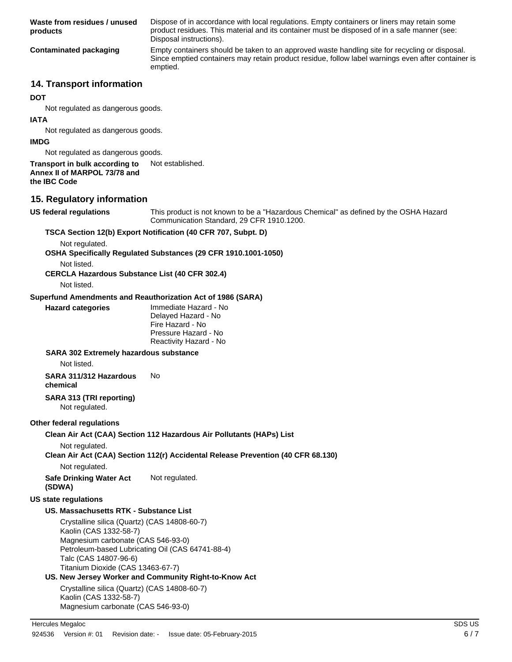| Waste from residues / unused<br>products                                                                                                                                                                                       | Dispose of in accordance with local regulations. Empty containers or liners may retain some<br>product residues. This material and its container must be disposed of in a safe manner (see:<br>Disposal instructions). |  |  |
|--------------------------------------------------------------------------------------------------------------------------------------------------------------------------------------------------------------------------------|------------------------------------------------------------------------------------------------------------------------------------------------------------------------------------------------------------------------|--|--|
| <b>Contaminated packaging</b>                                                                                                                                                                                                  | Empty containers should be taken to an approved waste handling site for recycling or disposal.<br>Since emptied containers may retain product residue, follow label warnings even after container is<br>emptied.       |  |  |
| <b>14. Transport information</b>                                                                                                                                                                                               |                                                                                                                                                                                                                        |  |  |
| <b>DOT</b>                                                                                                                                                                                                                     |                                                                                                                                                                                                                        |  |  |
| Not regulated as dangerous goods.                                                                                                                                                                                              |                                                                                                                                                                                                                        |  |  |
| <b>IATA</b><br>Not regulated as dangerous goods.                                                                                                                                                                               |                                                                                                                                                                                                                        |  |  |
| <b>IMDG</b>                                                                                                                                                                                                                    |                                                                                                                                                                                                                        |  |  |
| Not regulated as dangerous goods.                                                                                                                                                                                              |                                                                                                                                                                                                                        |  |  |
| Transport in bulk according to<br>Annex II of MARPOL 73/78 and<br>the IBC Code                                                                                                                                                 | Not established.                                                                                                                                                                                                       |  |  |
| 15. Regulatory information                                                                                                                                                                                                     |                                                                                                                                                                                                                        |  |  |
| US federal regulations                                                                                                                                                                                                         | This product is not known to be a "Hazardous Chemical" as defined by the OSHA Hazard<br>Communication Standard, 29 CFR 1910.1200.                                                                                      |  |  |
|                                                                                                                                                                                                                                | TSCA Section 12(b) Export Notification (40 CFR 707, Subpt. D)                                                                                                                                                          |  |  |
| Not regulated.<br>Not listed.<br><b>CERCLA Hazardous Substance List (40 CFR 302.4)</b><br>Not listed.                                                                                                                          | OSHA Specifically Regulated Substances (29 CFR 1910.1001-1050)                                                                                                                                                         |  |  |
|                                                                                                                                                                                                                                | Superfund Amendments and Reauthorization Act of 1986 (SARA)                                                                                                                                                            |  |  |
| <b>Hazard categories</b>                                                                                                                                                                                                       | Immediate Hazard - No<br>Delayed Hazard - No<br>Fire Hazard - No<br>Pressure Hazard - No                                                                                                                               |  |  |
|                                                                                                                                                                                                                                | Reactivity Hazard - No                                                                                                                                                                                                 |  |  |
| <b>SARA 302 Extremely hazardous substance</b><br>Not listed.                                                                                                                                                                   |                                                                                                                                                                                                                        |  |  |
| SARA 311/312 Hazardous<br>chemical                                                                                                                                                                                             | No.                                                                                                                                                                                                                    |  |  |
| SARA 313 (TRI reporting)<br>Not regulated.                                                                                                                                                                                     |                                                                                                                                                                                                                        |  |  |
| Other federal regulations                                                                                                                                                                                                      |                                                                                                                                                                                                                        |  |  |
|                                                                                                                                                                                                                                | Clean Air Act (CAA) Section 112 Hazardous Air Pollutants (HAPs) List                                                                                                                                                   |  |  |
| Not regulated.                                                                                                                                                                                                                 | Clean Air Act (CAA) Section 112(r) Accidental Release Prevention (40 CFR 68.130)                                                                                                                                       |  |  |
| Not regulated.                                                                                                                                                                                                                 |                                                                                                                                                                                                                        |  |  |
| <b>Safe Drinking Water Act</b><br>(SDWA)                                                                                                                                                                                       | Not regulated.                                                                                                                                                                                                         |  |  |
| <b>US state regulations</b>                                                                                                                                                                                                    |                                                                                                                                                                                                                        |  |  |
| US. Massachusetts RTK - Substance List                                                                                                                                                                                         |                                                                                                                                                                                                                        |  |  |
| Crystalline silica (Quartz) (CAS 14808-60-7)<br>Kaolin (CAS 1332-58-7)<br>Magnesium carbonate (CAS 546-93-0)<br>Petroleum-based Lubricating Oil (CAS 64741-88-4)<br>Talc (CAS 14807-96-6)<br>Titanium Dioxide (CAS 13463-67-7) |                                                                                                                                                                                                                        |  |  |
|                                                                                                                                                                                                                                | US. New Jersey Worker and Community Right-to-Know Act                                                                                                                                                                  |  |  |
| Crystalline silica (Quartz) (CAS 14808-60-7)<br>Kaolin (CAS 1332-58-7)                                                                                                                                                         |                                                                                                                                                                                                                        |  |  |

Magnesium carbonate (CAS 546-93-0)